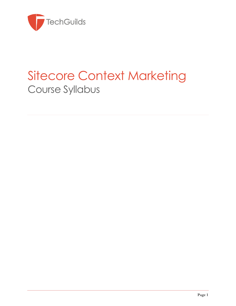

# Sitecore Context Marketing Course Syllabus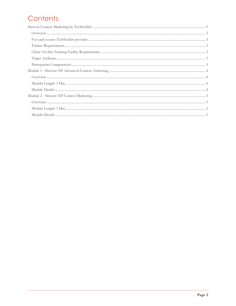## Contents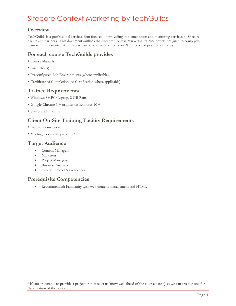### <span id="page-2-0"></span>Sitecore Context Marketing by TechGuilds

#### <span id="page-2-1"></span>**Overview**

TechGuilds is a professional services firm focused on providing implementation and mentoring services to Sitecore clients and partners. This document outlines the Sitecore Context Marketing training course designed to equip your team with the essential skills they will need to make your Sitecore XP project or practice a success.

#### <span id="page-2-2"></span>**For each course TechGuilds provides**

- Course Manuals
- Instructor(s)
- Preconfigured Lab Environments (where applicable)
- Certificate of Completion (or Certification where applicable)

#### <span id="page-2-3"></span>**Trainee Requirements**

- Windows 8+ PC/Laptop, 8 GB Ram
- Google Chrome 5 + or Internet Explorer 10 +
- Sitecore XP License

#### <span id="page-2-4"></span>**Client On-Site Training Facility Requirements**

- Internet connection
- Meeting room with projector<sup>1</sup>

#### <span id="page-2-5"></span>**Target Audience**

- Content Managers
- Marketers

 $\overline{a}$ 

- Project Managers
- Business Analysts
- Sitecore project Stakeholders

#### <span id="page-2-6"></span>**Prerequisite Competencies**

Recommended: Familiarity with web content management and HTML

<sup>1</sup> If you are unable to provide a projector, please let us know well ahead of the course date(s) so we can arrange one for the duration of the course.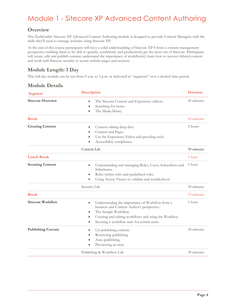### <span id="page-3-0"></span>Module 1 - Sitecore XP Advanced Content Authoring

#### <span id="page-3-1"></span>**Overview**

The TechGuilds' Sitecore XP Advanced Content Authoring module is designed to provide Content Managers with the skills they'll need to manage websites using Sitecore XP.

At the end of this course participants will have a solid understanding of Sitecore XP 8 from a content management perspective enabling them to be able to quickly, confidently and productively get the most out of Sitecore. Participants will create, edit and publish content; understand the importance of workflow(s); learn how to recover deleted content and work with Sitecore security to secure website pages and sections.

#### <span id="page-3-2"></span>**Module Length: 1 Day**

This full-day module can be run from 9 a.m. to 5 p.m. or delivered in "segments" over a desired time period.

<span id="page-3-3"></span>

| <b>Module Details</b> |
|-----------------------|
|-----------------------|

| <b>Segment</b>            | <b>Description</b>                                                                                                                                                                                                                               | <b>Duration</b> |
|---------------------------|--------------------------------------------------------------------------------------------------------------------------------------------------------------------------------------------------------------------------------------------------|-----------------|
| <b>Sitecore Overview</b>  | The Sitecore Content and Experience editors.<br>Searching for items.<br>The Media library.                                                                                                                                                       | 45 minutes      |
| <b>Break</b>              |                                                                                                                                                                                                                                                  | 10 minutes      |
| <b>Creating Content</b>   | Content editing deep dive.<br>۰<br>Content and Pages.<br>Use the Experience Editor and proofing tools.<br>Accessibility compliance.                                                                                                              | 2 hours         |
|                           | Content Lab                                                                                                                                                                                                                                      | 30 minutes      |
| <b>Lunch Break</b>        |                                                                                                                                                                                                                                                  | 1 hour          |
| <b>Securing Content</b>   | Understanding and managing Roles, Users, Subscribers and<br>$\bullet$<br>Inheritance.<br>Roles within roles and predefined roles.<br>۰<br>Using Access Viewer to validate and troubleshoot.                                                      | 1 hour          |
|                           | Security Lab                                                                                                                                                                                                                                     | 30 minutes      |
| <b>Break</b>              |                                                                                                                                                                                                                                                  | 15 minutes      |
| <b>Sitecore Workflow</b>  | Understanding the importance of Workflow from a<br>٠<br>business and Content Author's perspective.<br>The Sample Workflow.<br>Creating and editing workflows and using the Workbox.<br>Securing a workflow state for certain users.<br>$\bullet$ | 1 hour          |
| <b>Publishing Caveats</b> | Un-publishing content.<br>Restricting publishing.<br>Auto-publishing.<br>Previewing an item.                                                                                                                                                     | 30 minutes      |
|                           | Publishing & Workflow Lab                                                                                                                                                                                                                        | 30 minutes      |